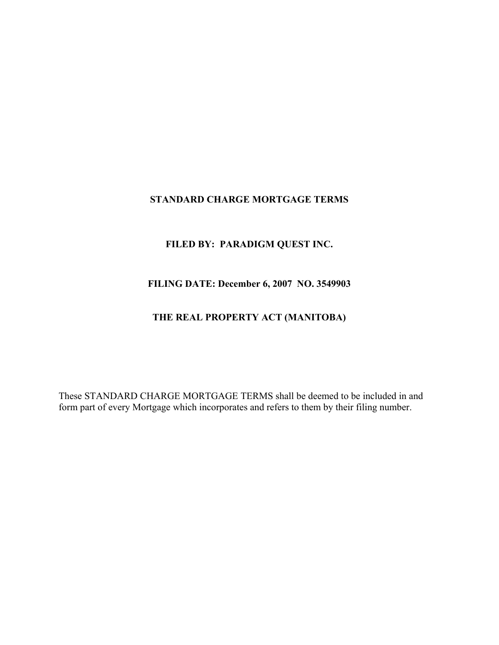# **STANDARD CHARGE MORTGAGE TERMS**

# **FILED BY: PARADIGM QUEST INC.**

# **FILING DATE: December 6, 2007 NO. 3549903**

# **THE REAL PROPERTY ACT (MANITOBA)**

These STANDARD CHARGE MORTGAGE TERMS shall be deemed to be included in and form part of every Mortgage which incorporates and refers to them by their filing number.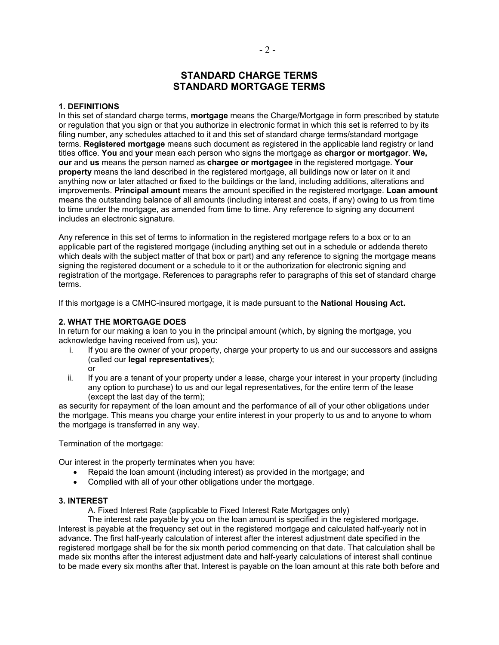# **STANDARD CHARGE TERMS STANDARD MORTGAGE TERMS**

#### **1. DEFINITIONS**

In this set of standard charge terms, **mortgage** means the Charge/Mortgage in form prescribed by statute or regulation that you sign or that you authorize in electronic format in which this set is referred to by its filing number, any schedules attached to it and this set of standard charge terms/standard mortgage terms. **Registered mortgage** means such document as registered in the applicable land registry or land titles office. **You** and **your** mean each person who signs the mortgage as **chargor or mortgagor**. **We, our** and **us** means the person named as **chargee or mortgagee** in the registered mortgage. **Your property** means the land described in the registered mortgage, all buildings now or later on it and anything now or later attached or fixed to the buildings or the land, including additions, alterations and improvements. **Principal amount** means the amount specified in the registered mortgage. **Loan amount**  means the outstanding balance of all amounts (including interest and costs, if any) owing to us from time to time under the mortgage, as amended from time to time. Any reference to signing any document includes an electronic signature.

Any reference in this set of terms to information in the registered mortgage refers to a box or to an applicable part of the registered mortgage (including anything set out in a schedule or addenda thereto which deals with the subject matter of that box or part) and any reference to signing the mortgage means signing the registered document or a schedule to it or the authorization for electronic signing and registration of the mortgage. References to paragraphs refer to paragraphs of this set of standard charge terms.

If this mortgage is a CMHC-insured mortgage, it is made pursuant to the **National Housing Act.** 

#### **2. WHAT THE MORTGAGE DOES**

In return for our making a loan to you in the principal amount (which, by signing the mortgage, you acknowledge having received from us), you:

- i. If you are the owner of your property, charge your property to us and our successors and assigns (called our **legal representatives**); or
- ii. If you are a tenant of your property under a lease, charge your interest in your property (including any option to purchase) to us and our legal representatives, for the entire term of the lease (except the last day of the term);

as security for repayment of the loan amount and the performance of all of your other obligations under the mortgage. This means you charge your entire interest in your property to us and to anyone to whom the mortgage is transferred in any way.

Termination of the mortgage:

Our interest in the property terminates when you have:

- Repaid the loan amount (including interest) as provided in the mortgage; and
- Complied with all of your other obligations under the mortgage.

#### **3. INTEREST**

A. Fixed Interest Rate (applicable to Fixed Interest Rate Mortgages only)

The interest rate payable by you on the loan amount is specified in the registered mortgage. Interest is payable at the frequency set out in the registered mortgage and calculated half-yearly not in advance. The first half-yearly calculation of interest after the interest adjustment date specified in the registered mortgage shall be for the six month period commencing on that date. That calculation shall be made six months after the interest adjustment date and half-yearly calculations of interest shall continue to be made every six months after that. Interest is payable on the loan amount at this rate both before and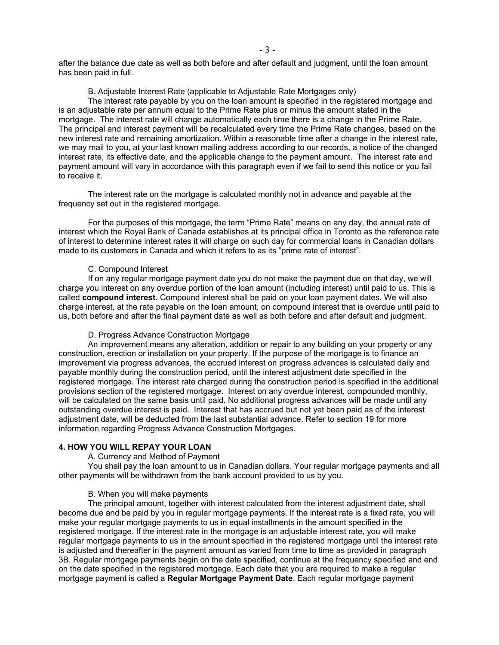after the balance due date as well as both before and after default and judgment, until the loan amount has been paid in full.

#### B. Adjustable Interest Rate (applicable to Adjustable Rate Mortgages only)

The interest rate payable by you on the loan amount is specified in the registered mortgage and is an adjustable rate per annum equal to the Prime Rate plus or minus the amount stated in the mortgage. The interest rate will change automatically each time there is a change in the Prime Rate. The principal and interest payment will be recalculated every time the Prime Rate changes, based on the new interest rate and remaining amortization. Within a reasonable time after a change in the interest rate, we may mail to you, at your last known mailing address according to our records, a notice of the changed interest rate, its effective date, and the applicable change to the payment amount. The interest rate and payment amount will vary in accordance with this paragraph even if we fail to send this notice or you fail to receive it.

The interest rate on the mortgage is calculated monthly not in advance and payable at the frequency set out in the registered mortgage.

For the purposes of this mortgage, the term "Prime Rate" means on any day, the annual rate of interest which the Royal Bank of Canada establishes at its principal office in Toronto as the reference rate of interest to determine interest rates it will charge on such day for commercial loans in Canadian dollars made to its customers in Canada and which it refers to as its "prime rate of interest".

#### C. Compound Interest

If on any regular mortgage payment date you do not make the payment due on that day, we will charge you interest on any overdue portion of the loan amount (including interest) until paid to us. This is called **compound interest.** Compound interest shall be paid on your loan payment dates. We will also charge interest, at the rate payable on the loan amount, on compound interest that is overdue until paid to us, both before and after the final payment date as well as both before and after default and judgment.

### D. Progress Advance Construction Mortgage

An improvement means any alteration, addition or repair to any building on your property or any construction, erection or installation on your property. If the purpose of the mortgage is to finance an improvement via progress advances, the accrued interest on progress advances is calculated daily and payable monthly during the construction period, until the interest adjustment date specified in the registered mortgage. The interest rate charged during the construction period is specified in the additional provisions section of the registered mortgage. Interest on any overdue interest, compounded monthly, will be calculated on the same basis until paid. No additional progress advances will be made until any outstanding overdue interest is paid. Interest that has accrued but not yet been paid as of the interest adjustment date, will be deducted from the last substantial advance. Refer to section 19 for more information regarding Progress Advance Construction Mortgages.

#### **4. HOW YOU WILL REPAY YOUR LOAN**

A. Currency and Method of Payment

You shall pay the loan amount to us in Canadian dollars. Your regular mortgage payments and all other payments will be withdrawn from the bank account provided to us by you.

### B. When you will make payments

The principal amount, together with interest calculated from the interest adjustment date, shall become due and be paid by you in regular mortgage payments. If the interest rate is a fixed rate, you will make your regular mortgage payments to us in equal installments in the amount specified in the registered mortgage. If the interest rate in the mortgage is an adjustable interest rate, you will make regular mortgage payments to us in the amount specified in the registered mortgage until the interest rate is adjusted and thereafter in the payment amount as varied from time to time as provided in paragraph 3B. Regular mortgage payments begin on the date specified, continue at the frequency specified and end on the date specified in the registered mortgage. Each date that you are required to make a regular mortgage payment is called a **Regular Mortgage Payment Date**. Each regular mortgage payment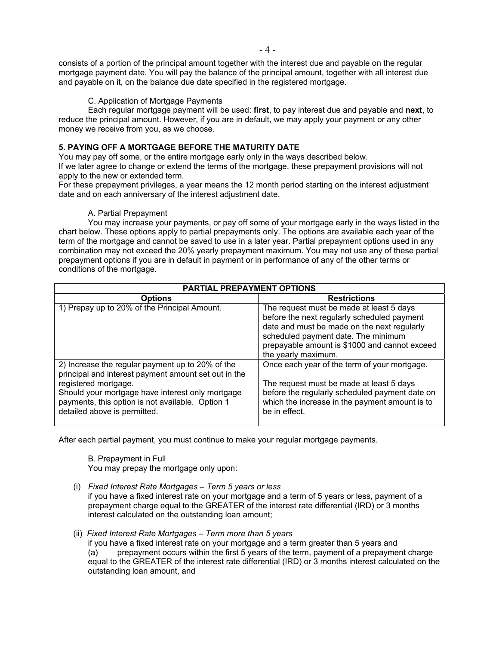consists of a portion of the principal amount together with the interest due and payable on the regular mortgage payment date. You will pay the balance of the principal amount, together with all interest due and payable on it, on the balance due date specified in the registered mortgage.

## C. Application of Mortgage Payments

Each regular mortgage payment will be used: **first**, to pay interest due and payable and **next**, to reduce the principal amount. However, if you are in default, we may apply your payment or any other money we receive from you, as we choose.

## **5. PAYING OFF A MORTGAGE BEFORE THE MATURITY DATE**

You may pay off some, or the entire mortgage early only in the ways described below. If we later agree to change or extend the terms of the mortgage, these prepayment provisions will not apply to the new or extended term.

For these prepayment privileges, a year means the 12 month period starting on the interest adjustment date and on each anniversary of the interest adjustment date.

### A. Partial Prepayment

You may increase your payments, or pay off some of your mortgage early in the ways listed in the chart below. These options apply to partial prepayments only. The options are available each year of the term of the mortgage and cannot be saved to use in a later year. Partial prepayment options used in any combination may not exceed the 20% yearly prepayment maximum. You may not use any of these partial prepayment options if you are in default in payment or in performance of any of the other terms or conditions of the mortgage.

| <b>PARTIAL PREPAYMENT OPTIONS</b>                                                                                                                                                                                                                                        |                                                                                                                                                                                                                                                       |  |  |  |  |
|--------------------------------------------------------------------------------------------------------------------------------------------------------------------------------------------------------------------------------------------------------------------------|-------------------------------------------------------------------------------------------------------------------------------------------------------------------------------------------------------------------------------------------------------|--|--|--|--|
| <b>Options</b>                                                                                                                                                                                                                                                           | <b>Restrictions</b>                                                                                                                                                                                                                                   |  |  |  |  |
| 1) Prepay up to 20% of the Principal Amount.                                                                                                                                                                                                                             | The request must be made at least 5 days<br>before the next regularly scheduled payment<br>date and must be made on the next regularly<br>scheduled payment date. The minimum<br>prepayable amount is \$1000 and cannot exceed<br>the yearly maximum. |  |  |  |  |
| 2) Increase the regular payment up to 20% of the<br>principal and interest payment amount set out in the<br>registered mortgage.<br>Should your mortgage have interest only mortgage<br>payments, this option is not available. Option 1<br>detailed above is permitted. | Once each year of the term of your mortgage.<br>The request must be made at least 5 days<br>before the regularly scheduled payment date on<br>which the increase in the payment amount is to<br>be in effect.                                         |  |  |  |  |

After each partial payment, you must continue to make your regular mortgage payments.

B. Prepayment in Full You may prepay the mortgage only upon:

(i) *Fixed Interest Rate Mortgages – Term 5 years or less* 

if you have a fixed interest rate on your mortgage and a term of 5 years or less, payment of a prepayment charge equal to the GREATER of the interest rate differential (IRD) or 3 months interest calculated on the outstanding loan amount;

(ii) *Fixed Interest Rate Mortgages – Term more than 5 years*

if you have a fixed interest rate on your mortgage and a term greater than 5 years and

(a) prepayment occurs within the first 5 years of the term, payment of a prepayment charge equal to the GREATER of the interest rate differential (IRD) or 3 months interest calculated on the outstanding loan amount, and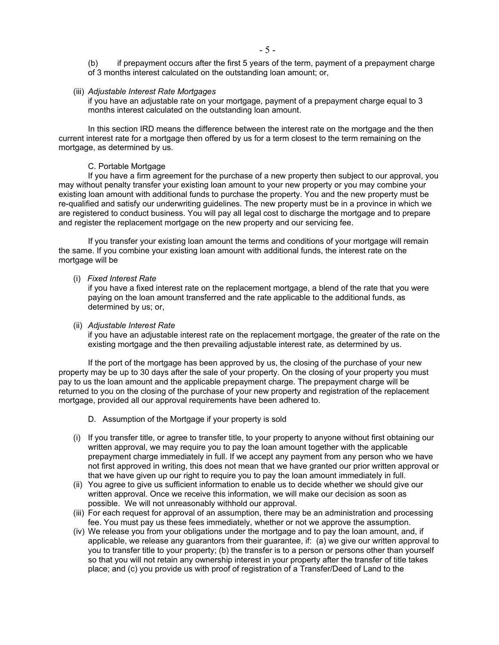(b) if prepayment occurs after the first 5 years of the term, payment of a prepayment charge of 3 months interest calculated on the outstanding loan amount; or,

#### (iii) *Adjustable Interest Rate Mortgages*

if you have an adjustable rate on your mortgage, payment of a prepayment charge equal to 3 months interest calculated on the outstanding loan amount.

In this section IRD means the difference between the interest rate on the mortgage and the then current interest rate for a mortgage then offered by us for a term closest to the term remaining on the mortgage, as determined by us.

#### C. Portable Mortgage

If you have a firm agreement for the purchase of a new property then subject to our approval, you may without penalty transfer your existing loan amount to your new property or you may combine your existing loan amount with additional funds to purchase the property. You and the new property must be re-qualified and satisfy our underwriting guidelines. The new property must be in a province in which we are registered to conduct business. You will pay all legal cost to discharge the mortgage and to prepare and register the replacement mortgage on the new property and our servicing fee.

If you transfer your existing loan amount the terms and conditions of your mortgage will remain the same. If you combine your existing loan amount with additional funds, the interest rate on the mortgage will be

#### (i) *Fixed Interest Rate*

if you have a fixed interest rate on the replacement mortgage, a blend of the rate that you were paying on the loan amount transferred and the rate applicable to the additional funds, as determined by us; or,

#### (ii) *Adjustable Interest Rate*

if you have an adjustable interest rate on the replacement mortgage, the greater of the rate on the existing mortgage and the then prevailing adjustable interest rate, as determined by us.

If the port of the mortgage has been approved by us, the closing of the purchase of your new property may be up to 30 days after the sale of your property. On the closing of your property you must pay to us the loan amount and the applicable prepayment charge. The prepayment charge will be returned to you on the closing of the purchase of your new property and registration of the replacement mortgage, provided all our approval requirements have been adhered to.

- D. Assumption of the Mortgage if your property is sold
- (i) If you transfer title, or agree to transfer title, to your property to anyone without first obtaining our written approval, we may require you to pay the loan amount together with the applicable prepayment charge immediately in full. If we accept any payment from any person who we have not first approved in writing, this does not mean that we have granted our prior written approval or that we have given up our right to require you to pay the loan amount immediately in full.
- (ii) You agree to give us sufficient information to enable us to decide whether we should give our written approval. Once we receive this information, we will make our decision as soon as possible. We will not unreasonably withhold our approval.
- (iii) For each request for approval of an assumption, there may be an administration and processing fee. You must pay us these fees immediately, whether or not we approve the assumption.
- (iv) We release you from your obligations under the mortgage and to pay the loan amount, and, if applicable, we release any guarantors from their guarantee, if: (a) we give our written approval to you to transfer title to your property; (b) the transfer is to a person or persons other than yourself so that you will not retain any ownership interest in your property after the transfer of title takes place; and (c) you provide us with proof of registration of a Transfer/Deed of Land to the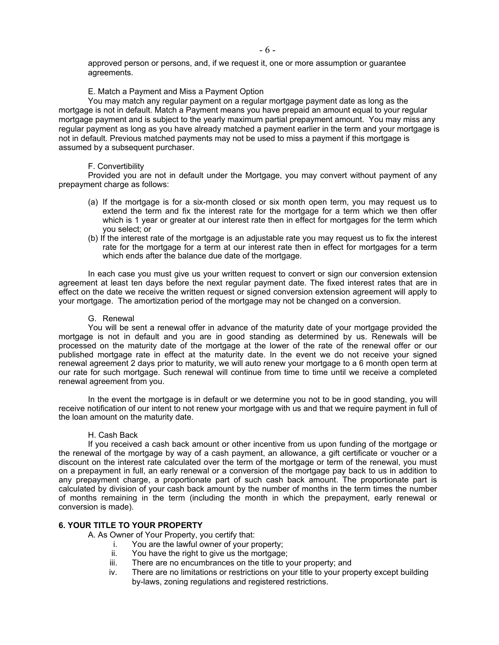approved person or persons, and, if we request it, one or more assumption or guarantee agreements.

### E. Match a Payment and Miss a Payment Option

You may match any regular payment on a regular mortgage payment date as long as the mortgage is not in default. Match a Payment means you have prepaid an amount equal to your regular mortgage payment and is subject to the yearly maximum partial prepayment amount. You may miss any regular payment as long as you have already matched a payment earlier in the term and your mortgage is not in default. Previous matched payments may not be used to miss a payment if this mortgage is assumed by a subsequent purchaser.

#### F. Convertibility

Provided you are not in default under the Mortgage, you may convert without payment of any prepayment charge as follows:

- (a) If the mortgage is for a six-month closed or six month open term, you may request us to extend the term and fix the interest rate for the mortgage for a term which we then offer which is 1 year or greater at our interest rate then in effect for mortgages for the term which you select; or
- (b) If the interest rate of the mortgage is an adjustable rate you may request us to fix the interest rate for the mortgage for a term at our interest rate then in effect for mortgages for a term which ends after the balance due date of the mortgage.

In each case you must give us your written request to convert or sign our conversion extension agreement at least ten days before the next regular payment date. The fixed interest rates that are in effect on the date we receive the written request or signed conversion extension agreement will apply to your mortgage. The amortization period of the mortgage may not be changed on a conversion.

#### G. Renewal

You will be sent a renewal offer in advance of the maturity date of your mortgage provided the mortgage is not in default and you are in good standing as determined by us. Renewals will be processed on the maturity date of the mortgage at the lower of the rate of the renewal offer or our published mortgage rate in effect at the maturity date. In the event we do not receive your signed renewal agreement 2 days prior to maturity, we will auto renew your mortgage to a 6 month open term at our rate for such mortgage. Such renewal will continue from time to time until we receive a completed renewal agreement from you.

In the event the mortgage is in default or we determine you not to be in good standing, you will receive notification of our intent to not renew your mortgage with us and that we require payment in full of the loan amount on the maturity date.

### H. Cash Back

 If you received a cash back amount or other incentive from us upon funding of the mortgage or the renewal of the mortgage by way of a cash payment, an allowance, a gift certificate or voucher or a discount on the interest rate calculated over the term of the mortgage or term of the renewal, you must on a prepayment in full, an early renewal or a conversion of the mortgage pay back to us in addition to any prepayment charge, a proportionate part of such cash back amount. The proportionate part is calculated by division of your cash back amount by the number of months in the term times the number of months remaining in the term (including the month in which the prepayment, early renewal or conversion is made).

### **6. YOUR TITLE TO YOUR PROPERTY**

A. As Owner of Your Property, you certify that:

- i. You are the lawful owner of your property;
- ii. You have the right to give us the mortgage;
- iii. There are no encumbrances on the title to your property; and
- iv. There are no limitations or restrictions on your title to your property except building by-laws, zoning regulations and registered restrictions.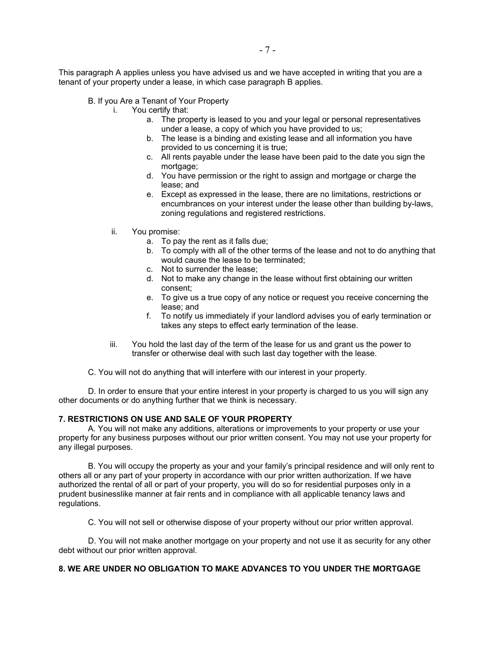- B. If you Are a Tenant of Your Property
	- i. You certify that:
		- a. The property is leased to you and your legal or personal representatives under a lease, a copy of which you have provided to us;
		- b. The lease is a binding and existing lease and all information you have provided to us concerning it is true;
		- c. All rents payable under the lease have been paid to the date you sign the mortgage;
		- d. You have permission or the right to assign and mortgage or charge the lease; and
		- e. Except as expressed in the lease, there are no limitations, restrictions or encumbrances on your interest under the lease other than building by-laws, zoning regulations and registered restrictions.
	- ii. You promise:
		- a. To pay the rent as it falls due;
		- b. To comply with all of the other terms of the lease and not to do anything that would cause the lease to be terminated;
		- c. Not to surrender the lease;
		- d. Not to make any change in the lease without first obtaining our written consent;
		- e. To give us a true copy of any notice or request you receive concerning the lease; and
		- f. To notify us immediately if your landlord advises you of early termination or takes any steps to effect early termination of the lease.
	- iii. You hold the last day of the term of the lease for us and grant us the power to transfer or otherwise deal with such last day together with the lease.

C. You will not do anything that will interfere with our interest in your property.

D. In order to ensure that your entire interest in your property is charged to us you will sign any other documents or do anything further that we think is necessary.

# **7. RESTRICTIONS ON USE AND SALE OF YOUR PROPERTY**

A. You will not make any additions, alterations or improvements to your property or use your property for any business purposes without our prior written consent. You may not use your property for any illegal purposes.

B. You will occupy the property as your and your family's principal residence and will only rent to others all or any part of your property in accordance with our prior written authorization. If we have authorized the rental of all or part of your property, you will do so for residential purposes only in a prudent businesslike manner at fair rents and in compliance with all applicable tenancy laws and regulations.

C. You will not sell or otherwise dispose of your property without our prior written approval.

D. You will not make another mortgage on your property and not use it as security for any other debt without our prior written approval.

# **8. WE ARE UNDER NO OBLIGATION TO MAKE ADVANCES TO YOU UNDER THE MORTGAGE**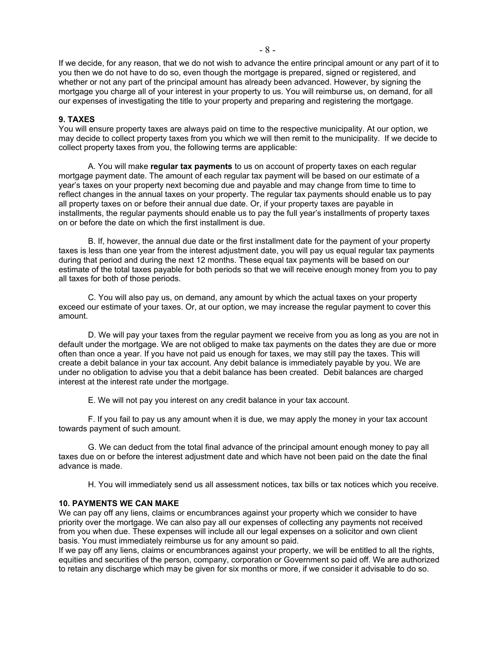If we decide, for any reason, that we do not wish to advance the entire principal amount or any part of it to you then we do not have to do so, even though the mortgage is prepared, signed or registered, and whether or not any part of the principal amount has already been advanced. However, by signing the mortgage you charge all of your interest in your property to us. You will reimburse us, on demand, for all our expenses of investigating the title to your property and preparing and registering the mortgage.

## **9. TAXES**

You will ensure property taxes are always paid on time to the respective municipality. At our option, we may decide to collect property taxes from you which we will then remit to the municipality. If we decide to collect property taxes from you, the following terms are applicable:

A. You will make **regular tax payments** to us on account of property taxes on each regular mortgage payment date. The amount of each regular tax payment will be based on our estimate of a year's taxes on your property next becoming due and payable and may change from time to time to reflect changes in the annual taxes on your property. The regular tax payments should enable us to pay all property taxes on or before their annual due date. Or, if your property taxes are payable in installments, the regular payments should enable us to pay the full year's installments of property taxes on or before the date on which the first installment is due.

B. If, however, the annual due date or the first installment date for the payment of your property taxes is less than one year from the interest adjustment date, you will pay us equal regular tax payments during that period and during the next 12 months. These equal tax payments will be based on our estimate of the total taxes payable for both periods so that we will receive enough money from you to pay all taxes for both of those periods.

C. You will also pay us, on demand, any amount by which the actual taxes on your property exceed our estimate of your taxes. Or, at our option, we may increase the regular payment to cover this amount.

D. We will pay your taxes from the regular payment we receive from you as long as you are not in default under the mortgage. We are not obliged to make tax payments on the dates they are due or more often than once a year. If you have not paid us enough for taxes, we may still pay the taxes. This will create a debit balance in your tax account. Any debit balance is immediately payable by you. We are under no obligation to advise you that a debit balance has been created. Debit balances are charged interest at the interest rate under the mortgage.

E. We will not pay you interest on any credit balance in your tax account.

F. If you fail to pay us any amount when it is due, we may apply the money in your tax account towards payment of such amount.

G. We can deduct from the total final advance of the principal amount enough money to pay all taxes due on or before the interest adjustment date and which have not been paid on the date the final advance is made.

H. You will immediately send us all assessment notices, tax bills or tax notices which you receive.

### **10. PAYMENTS WE CAN MAKE**

We can pay off any liens, claims or encumbrances against your property which we consider to have priority over the mortgage. We can also pay all our expenses of collecting any payments not received from you when due. These expenses will include all our legal expenses on a solicitor and own client basis. You must immediately reimburse us for any amount so paid.

If we pay off any liens, claims or encumbrances against your property, we will be entitled to all the rights, equities and securities of the person, company, corporation or Government so paid off. We are authorized to retain any discharge which may be given for six months or more, if we consider it advisable to do so.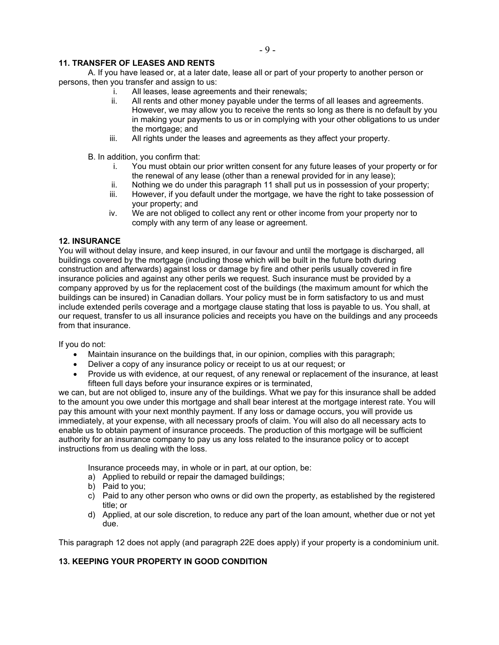# **11. TRANSFER OF LEASES AND RENTS**

A. If you have leased or, at a later date, lease all or part of your property to another person or persons, then you transfer and assign to us:

- i. All leases, lease agreements and their renewals;
- ii. All rents and other money payable under the terms of all leases and agreements. However, we may allow you to receive the rents so long as there is no default by you in making your payments to us or in complying with your other obligations to us under the mortgage; and
- iii. All rights under the leases and agreements as they affect your property.
- B. In addition, you confirm that:
	- i. You must obtain our prior written consent for any future leases of your property or for the renewal of any lease (other than a renewal provided for in any lease);
	- ii. Nothing we do under this paragraph 11 shall put us in possession of your property;
	- iii. However, if you default under the mortgage, we have the right to take possession of your property; and
	- iv. We are not obliged to collect any rent or other income from your property nor to comply with any term of any lease or agreement.

## **12. INSURANCE**

You will without delay insure, and keep insured, in our favour and until the mortgage is discharged, all buildings covered by the mortgage (including those which will be built in the future both during construction and afterwards) against loss or damage by fire and other perils usually covered in fire insurance policies and against any other perils we request. Such insurance must be provided by a company approved by us for the replacement cost of the buildings (the maximum amount for which the buildings can be insured) in Canadian dollars. Your policy must be in form satisfactory to us and must include extended perils coverage and a mortgage clause stating that loss is payable to us. You shall, at our request, transfer to us all insurance policies and receipts you have on the buildings and any proceeds from that insurance.

If you do not:

- Maintain insurance on the buildings that, in our opinion, complies with this paragraph;
- Deliver a copy of any insurance policy or receipt to us at our request; or
- Provide us with evidence, at our request, of any renewal or replacement of the insurance, at least fifteen full days before your insurance expires or is terminated,

we can, but are not obliged to, insure any of the buildings. What we pay for this insurance shall be added to the amount you owe under this mortgage and shall bear interest at the mortgage interest rate. You will pay this amount with your next monthly payment. If any loss or damage occurs, you will provide us immediately, at your expense, with all necessary proofs of claim. You will also do all necessary acts to enable us to obtain payment of insurance proceeds. The production of this mortgage will be sufficient authority for an insurance company to pay us any loss related to the insurance policy or to accept instructions from us dealing with the loss.

Insurance proceeds may, in whole or in part, at our option, be:

- a) Applied to rebuild or repair the damaged buildings;
- b) Paid to you;
- c) Paid to any other person who owns or did own the property, as established by the registered title; or
- d) Applied, at our sole discretion, to reduce any part of the loan amount, whether due or not yet due.

This paragraph 12 does not apply (and paragraph 22E does apply) if your property is a condominium unit.

# **13. KEEPING YOUR PROPERTY IN GOOD CONDITION**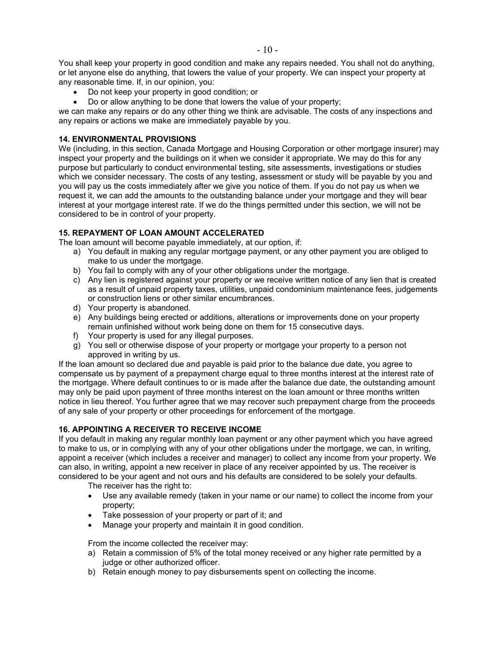You shall keep your property in good condition and make any repairs needed. You shall not do anything, or let anyone else do anything, that lowers the value of your property. We can inspect your property at any reasonable time. If, in our opinion, you:

- Do not keep your property in good condition; or
- Do or allow anything to be done that lowers the value of your property;

we can make any repairs or do any other thing we think are advisable. The costs of any inspections and any repairs or actions we make are immediately payable by you.

### **14. ENVIRONMENTAL PROVISIONS**

We (including, in this section, Canada Mortgage and Housing Corporation or other mortgage insurer) may inspect your property and the buildings on it when we consider it appropriate. We may do this for any purpose but particularly to conduct environmental testing, site assessments, investigations or studies which we consider necessary. The costs of any testing, assessment or study will be payable by you and you will pay us the costs immediately after we give you notice of them. If you do not pay us when we request it, we can add the amounts to the outstanding balance under your mortgage and they will bear interest at your mortgage interest rate. If we do the things permitted under this section, we will not be considered to be in control of your property.

## **15. REPAYMENT OF LOAN AMOUNT ACCELERATED**

The loan amount will become payable immediately, at our option, if:

- a) You default in making any regular mortgage payment, or any other payment you are obliged to make to us under the mortgage.
- b) You fail to comply with any of your other obligations under the mortgage.
- c) Any lien is registered against your property or we receive written notice of any lien that is created as a result of unpaid property taxes, utilities, unpaid condominium maintenance fees, judgements or construction liens or other similar encumbrances.
- d) Your property is abandoned.
- e) Any buildings being erected or additions, alterations or improvements done on your property remain unfinished without work being done on them for 15 consecutive days.
- f) Your property is used for any illegal purposes.
- g) You sell or otherwise dispose of your property or mortgage your property to a person not approved in writing by us.

If the loan amount so declared due and payable is paid prior to the balance due date, you agree to compensate us by payment of a prepayment charge equal to three months interest at the interest rate of the mortgage. Where default continues to or is made after the balance due date, the outstanding amount may only be paid upon payment of three months interest on the loan amount or three months written notice in lieu thereof. You further agree that we may recover such prepayment charge from the proceeds of any sale of your property or other proceedings for enforcement of the mortgage.

# **16. APPOINTING A RECEIVER TO RECEIVE INCOME**

If you default in making any regular monthly loan payment or any other payment which you have agreed to make to us, or in complying with any of your other obligations under the mortgage, we can, in writing, appoint a receiver (which includes a receiver and manager) to collect any income from your property. We can also, in writing, appoint a new receiver in place of any receiver appointed by us. The receiver is considered to be your agent and not ours and his defaults are considered to be solely your defaults.

The receiver has the right to:

- Use any available remedy (taken in your name or our name) to collect the income from your property;
- Take possession of your property or part of it; and
- Manage your property and maintain it in good condition.

From the income collected the receiver may:

- a) Retain a commission of 5% of the total money received or any higher rate permitted by a judge or other authorized officer.
- b) Retain enough money to pay disbursements spent on collecting the income.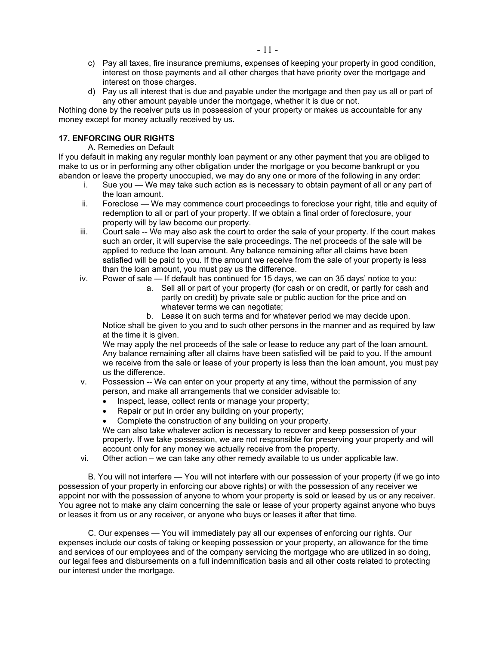- c) Pay all taxes, fire insurance premiums, expenses of keeping your property in good condition, interest on those payments and all other charges that have priority over the mortgage and interest on those charges.
- d) Pay us all interest that is due and payable under the mortgage and then pay us all or part of any other amount payable under the mortgage, whether it is due or not.

Nothing done by the receiver puts us in possession of your property or makes us accountable for any money except for money actually received by us.

# **17. ENFORCING OUR RIGHTS**

## A. Remedies on Default

If you default in making any regular monthly loan payment or any other payment that you are obliged to make to us or in performing any other obligation under the mortgage or you become bankrupt or you abandon or leave the property unoccupied, we may do any one or more of the following in any order:

- i. Sue you We may take such action as is necessary to obtain payment of all or any part of the loan amount.
- ii. Foreclose We may commence court proceedings to foreclose your right, title and equity of redemption to all or part of your property. If we obtain a final order of foreclosure, your property will by law become our property.
- iii. Court sale -- We may also ask the court to order the sale of your property. If the court makes such an order, it will supervise the sale proceedings. The net proceeds of the sale will be applied to reduce the loan amount. Any balance remaining after all claims have been satisfied will be paid to you. If the amount we receive from the sale of your property is less than the loan amount, you must pay us the difference.
- iv. Power of sale If default has continued for 15 days, we can on 35 days' notice to you:
	- a. Sell all or part of your property (for cash or on credit, or partly for cash and partly on credit) by private sale or public auction for the price and on whatever terms we can negotiate;
	- b. Lease it on such terms and for whatever period we may decide upon.

Notice shall be given to you and to such other persons in the manner and as required by law at the time it is given.

We may apply the net proceeds of the sale or lease to reduce any part of the loan amount. Any balance remaining after all claims have been satisfied will be paid to you. If the amount we receive from the sale or lease of your property is less than the loan amount, you must pay us the difference.

- v. Possession -- We can enter on your property at any time, without the permission of any person, and make all arrangements that we consider advisable to:
	- Inspect, lease, collect rents or manage your property;
	- Repair or put in order any building on your property;
	- Complete the construction of any building on your property.

We can also take whatever action is necessary to recover and keep possession of your property. If we take possession, we are not responsible for preserving your property and will account only for any money we actually receive from the property.

vi. Other action – we can take any other remedy available to us under applicable law.

B. You will not interfere — You will not interfere with our possession of your property (if we go into possession of your property in enforcing our above rights) or with the possession of any receiver we appoint nor with the possession of anyone to whom your property is sold or leased by us or any receiver. You agree not to make any claim concerning the sale or lease of your property against anyone who buys or leases it from us or any receiver, or anyone who buys or leases it after that time.

C. Our expenses — You will immediately pay all our expenses of enforcing our rights. Our expenses include our costs of taking or keeping possession or your property, an allowance for the time and services of our employees and of the company servicing the mortgage who are utilized in so doing, our legal fees and disbursements on a full indemnification basis and all other costs related to protecting our interest under the mortgage.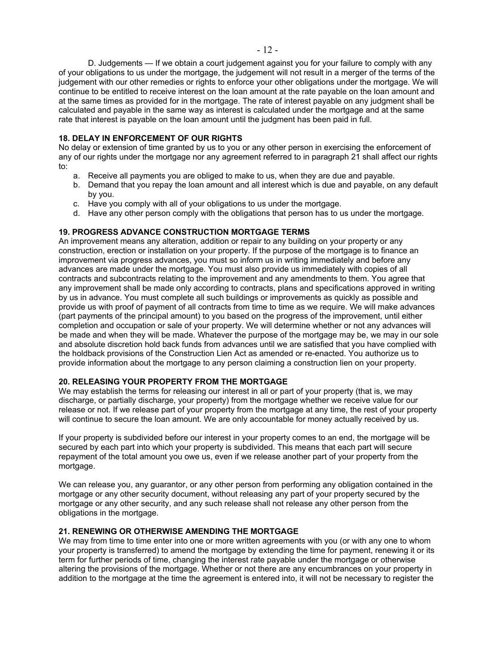D. Judgements — If we obtain a court judgement against you for your failure to comply with any of your obligations to us under the mortgage, the judgement will not result in a merger of the terms of the judgement with our other remedies or rights to enforce your other obligations under the mortgage. We will continue to be entitled to receive interest on the loan amount at the rate payable on the loan amount and at the same times as provided for in the mortgage. The rate of interest payable on any judgment shall be calculated and payable in the same way as interest is calculated under the mortgage and at the same rate that interest is payable on the loan amount until the judgment has been paid in full.

## **18. DELAY IN ENFORCEMENT OF OUR RIGHTS**

No delay or extension of time granted by us to you or any other person in exercising the enforcement of any of our rights under the mortgage nor any agreement referred to in paragraph 21 shall affect our rights to:

- a. Receive all payments you are obliged to make to us, when they are due and payable.
- b. Demand that you repay the loan amount and all interest which is due and payable, on any default by you.
- c. Have you comply with all of your obligations to us under the mortgage.
- d. Have any other person comply with the obligations that person has to us under the mortgage.

## **19. PROGRESS ADVANCE CONSTRUCTION MORTGAGE TERMS**

An improvement means any alteration, addition or repair to any building on your property or any construction, erection or installation on your property. If the purpose of the mortgage is to finance an improvement via progress advances, you must so inform us in writing immediately and before any advances are made under the mortgage. You must also provide us immediately with copies of all contracts and subcontracts relating to the improvement and any amendments to them. You agree that any improvement shall be made only according to contracts, plans and specifications approved in writing by us in advance. You must complete all such buildings or improvements as quickly as possible and provide us with proof of payment of all contracts from time to time as we require. We will make advances (part payments of the principal amount) to you based on the progress of the improvement, until either completion and occupation or sale of your property. We will determine whether or not any advances will be made and when they will be made. Whatever the purpose of the mortgage may be, we may in our sole and absolute discretion hold back funds from advances until we are satisfied that you have complied with the holdback provisions of the Construction Lien Act as amended or re-enacted. You authorize us to provide information about the mortgage to any person claiming a construction lien on your property.

### **20. RELEASING YOUR PROPERTY FROM THE MORTGAGE**

We may establish the terms for releasing our interest in all or part of your property (that is, we may discharge, or partially discharge, your property) from the mortgage whether we receive value for our release or not. If we release part of your property from the mortgage at any time, the rest of your property will continue to secure the loan amount. We are only accountable for money actually received by us.

If your property is subdivided before our interest in your property comes to an end, the mortgage will be secured by each part into which your property is subdivided. This means that each part will secure repayment of the total amount you owe us, even if we release another part of your property from the mortgage.

We can release you, any guarantor, or any other person from performing any obligation contained in the mortgage or any other security document, without releasing any part of your property secured by the mortgage or any other security, and any such release shall not release any other person from the obligations in the mortgage.

# **21. RENEWING OR OTHERWISE AMENDING THE MORTGAGE**

We may from time to time enter into one or more written agreements with you (or with any one to whom your property is transferred) to amend the mortgage by extending the time for payment, renewing it or its term for further periods of time, changing the interest rate payable under the mortgage or otherwise altering the provisions of the mortgage. Whether or not there are any encumbrances on your property in addition to the mortgage at the time the agreement is entered into, it will not be necessary to register the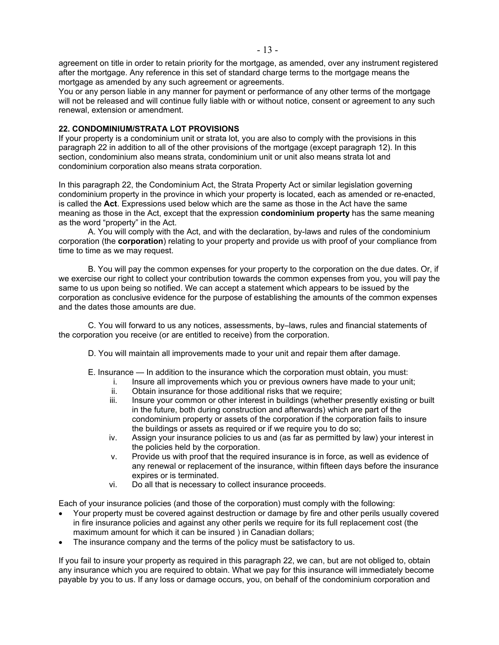agreement on title in order to retain priority for the mortgage, as amended, over any instrument registered after the mortgage. Any reference in this set of standard charge terms to the mortgage means the mortgage as amended by any such agreement or agreements.

You or any person liable in any manner for payment or performance of any other terms of the mortgage will not be released and will continue fully liable with or without notice, consent or agreement to any such renewal, extension or amendment.

## **22. CONDOMINIUM/STRATA LOT PROVISIONS**

If your property is a condominium unit or strata lot, you are also to comply with the provisions in this paragraph 22 in addition to all of the other provisions of the mortgage (except paragraph 12). In this section, condominium also means strata, condominium unit or unit also means strata lot and condominium corporation also means strata corporation.

In this paragraph 22, the Condominium Act, the Strata Property Act or similar legislation governing condominium property in the province in which your property is located, each as amended or re-enacted, is called the **Act**. Expressions used below which are the same as those in the Act have the same meaning as those in the Act, except that the expression **condominium property** has the same meaning as the word "property" in the Act.

A. You will comply with the Act, and with the declaration, by-laws and rules of the condominium corporation (the **corporation**) relating to your property and provide us with proof of your compliance from time to time as we may request.

B. You will pay the common expenses for your property to the corporation on the due dates. Or, if we exercise our right to collect your contribution towards the common expenses from you, you will pay the same to us upon being so notified. We can accept a statement which appears to be issued by the corporation as conclusive evidence for the purpose of establishing the amounts of the common expenses and the dates those amounts are due.

C. You will forward to us any notices, assessments, by–laws, rules and financial statements of the corporation you receive (or are entitled to receive) from the corporation.

D. You will maintain all improvements made to your unit and repair them after damage.

- E. Insurance In addition to the insurance which the corporation must obtain, you must:
	- i. Insure all improvements which you or previous owners have made to your unit;
		- ii. Obtain insurance for those additional risks that we require:
	- iii. Insure your common or other interest in buildings (whether presently existing or built in the future, both during construction and afterwards) which are part of the condominium property or assets of the corporation if the corporation fails to insure the buildings or assets as required or if we require you to do so;
	- iv. Assign your insurance policies to us and (as far as permitted by law) your interest in the policies held by the corporation.
	- v. Provide us with proof that the required insurance is in force, as well as evidence of any renewal or replacement of the insurance, within fifteen days before the insurance expires or is terminated.
	- vi. Do all that is necessary to collect insurance proceeds.

Each of your insurance policies (and those of the corporation) must comply with the following:

- Your property must be covered against destruction or damage by fire and other perils usually covered in fire insurance policies and against any other perils we require for its full replacement cost (the maximum amount for which it can be insured ) in Canadian dollars;
- The insurance company and the terms of the policy must be satisfactory to us.

If you fail to insure your property as required in this paragraph 22, we can, but are not obliged to, obtain any insurance which you are required to obtain. What we pay for this insurance will immediately become payable by you to us. If any loss or damage occurs, you, on behalf of the condominium corporation and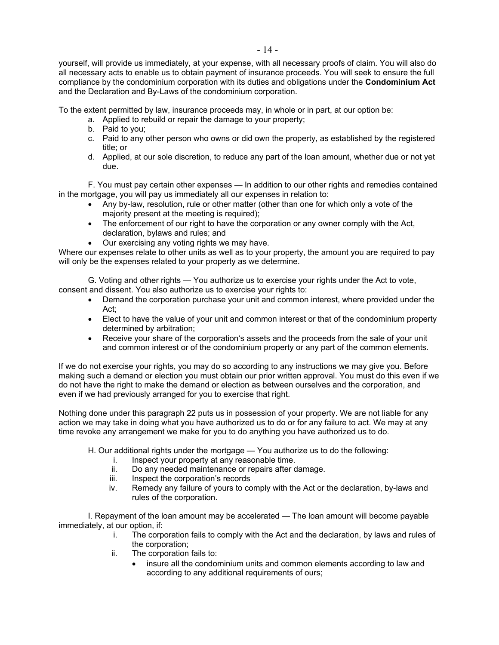yourself, will provide us immediately, at your expense, with all necessary proofs of claim. You will also do all necessary acts to enable us to obtain payment of insurance proceeds. You will seek to ensure the full compliance by the condominium corporation with its duties and obligations under the **Condominium Act**  and the Declaration and By-Laws of the condominium corporation.

To the extent permitted by law, insurance proceeds may, in whole or in part, at our option be:

- a. Applied to rebuild or repair the damage to your property;
- b. Paid to you;
- c. Paid to any other person who owns or did own the property, as established by the registered title; or
- d. Applied, at our sole discretion, to reduce any part of the loan amount, whether due or not yet due.

F. You must pay certain other expenses — In addition to our other rights and remedies contained in the mortgage, you will pay us immediately all our expenses in relation to:

- Any by-law, resolution, rule or other matter (other than one for which only a vote of the majority present at the meeting is required);
- The enforcement of our right to have the corporation or any owner comply with the Act, declaration, bylaws and rules; and
- Our exercising any voting rights we may have.

Where our expenses relate to other units as well as to your property, the amount you are required to pay will only be the expenses related to your property as we determine.

G. Voting and other rights — You authorize us to exercise your rights under the Act to vote, consent and dissent. You also authorize us to exercise your rights to:

- Demand the corporation purchase your unit and common interest, where provided under the Act;
- Elect to have the value of your unit and common interest or that of the condominium property determined by arbitration;
- Receive your share of the corporation's assets and the proceeds from the sale of your unit and common interest or of the condominium property or any part of the common elements.

If we do not exercise your rights, you may do so according to any instructions we may give you. Before making such a demand or election you must obtain our prior written approval. You must do this even if we do not have the right to make the demand or election as between ourselves and the corporation, and even if we had previously arranged for you to exercise that right.

Nothing done under this paragraph 22 puts us in possession of your property. We are not liable for any action we may take in doing what you have authorized us to do or for any failure to act. We may at any time revoke any arrangement we make for you to do anything you have authorized us to do.

- H. Our additional rights under the mortgage You authorize us to do the following:
	- i. Inspect your property at any reasonable time.
	- ii. Do any needed maintenance or repairs after damage.
	- iii. Inspect the corporation's records
	- iv. Remedy any failure of yours to comply with the Act or the declaration, by-laws and rules of the corporation.

I. Repayment of the loan amount may be accelerated — The loan amount will become payable immediately, at our option, if:

- i. The corporation fails to comply with the Act and the declaration, by laws and rules of the corporation;
- ii. The corporation fails to:
	- insure all the condominium units and common elements according to law and according to any additional requirements of ours;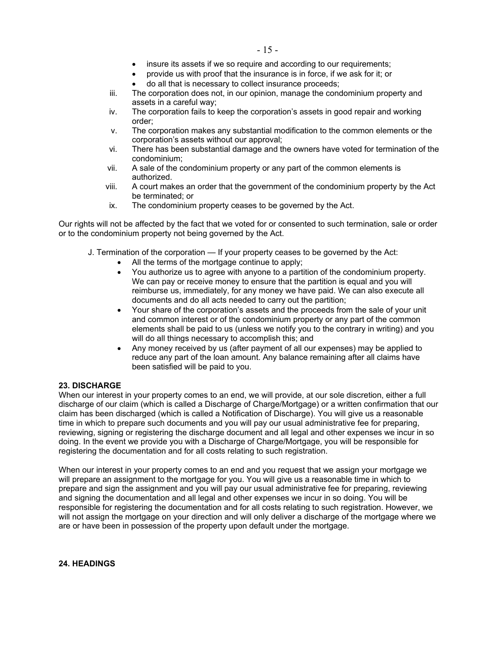- insure its assets if we so require and according to our requirements;
- provide us with proof that the insurance is in force, if we ask for it; or
- do all that is necessary to collect insurance proceeds;
- iii. The corporation does not, in our opinion, manage the condominium property and assets in a careful way;
- iv. The corporation fails to keep the corporation's assets in good repair and working order;
- v. The corporation makes any substantial modification to the common elements or the corporation's assets without our approval;
- vi. There has been substantial damage and the owners have voted for termination of the condominium;
- vii. A sale of the condominium property or any part of the common elements is authorized.
- viii. A court makes an order that the government of the condominium property by the Act be terminated; or
- ix. The condominium property ceases to be governed by the Act.

Our rights will not be affected by the fact that we voted for or consented to such termination, sale or order or to the condominium property not being governed by the Act.

- J. Termination of the corporation If your property ceases to be governed by the Act:
	- All the terms of the mortgage continue to apply;
	- You authorize us to agree with anyone to a partition of the condominium property. We can pay or receive money to ensure that the partition is equal and you will reimburse us, immediately, for any money we have paid. We can also execute all documents and do all acts needed to carry out the partition;
	- Your share of the corporation's assets and the proceeds from the sale of your unit and common interest or of the condominium property or any part of the common elements shall be paid to us (unless we notify you to the contrary in writing) and you will do all things necessary to accomplish this; and
	- Any money received by us (after payment of all our expenses) may be applied to reduce any part of the loan amount. Any balance remaining after all claims have been satisfied will be paid to you.

# **23. DISCHARGE**

When our interest in your property comes to an end, we will provide, at our sole discretion, either a full discharge of our claim (which is called a Discharge of Charge/Mortgage) or a written confirmation that our claim has been discharged (which is called a Notification of Discharge). You will give us a reasonable time in which to prepare such documents and you will pay our usual administrative fee for preparing, reviewing, signing or registering the discharge document and all legal and other expenses we incur in so doing. In the event we provide you with a Discharge of Charge/Mortgage, you will be responsible for registering the documentation and for all costs relating to such registration.

When our interest in your property comes to an end and you request that we assign your mortgage we will prepare an assignment to the mortgage for you. You will give us a reasonable time in which to prepare and sign the assignment and you will pay our usual administrative fee for preparing, reviewing and signing the documentation and all legal and other expenses we incur in so doing. You will be responsible for registering the documentation and for all costs relating to such registration. However, we will not assign the mortgage on your direction and will only deliver a discharge of the mortgage where we are or have been in possession of the property upon default under the mortgage.

**24. HEADINGS**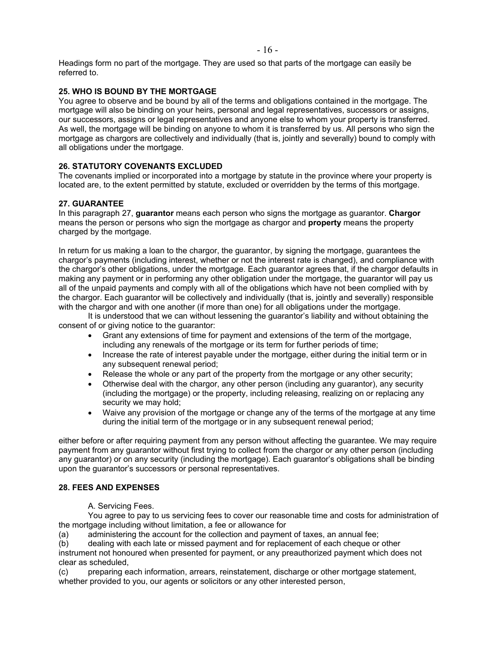Headings form no part of the mortgage. They are used so that parts of the mortgage can easily be referred to.

# **25. WHO IS BOUND BY THE MORTGAGE**

You agree to observe and be bound by all of the terms and obligations contained in the mortgage. The mortgage will also be binding on your heirs, personal and legal representatives, successors or assigns, our successors, assigns or legal representatives and anyone else to whom your property is transferred. As well, the mortgage will be binding on anyone to whom it is transferred by us. All persons who sign the mortgage as chargors are collectively and individually (that is, jointly and severally) bound to comply with all obligations under the mortgage.

# **26. STATUTORY COVENANTS EXCLUDED**

The covenants implied or incorporated into a mortgage by statute in the province where your property is located are, to the extent permitted by statute, excluded or overridden by the terms of this mortgage.

# **27. GUARANTEE**

In this paragraph 27, **guarantor** means each person who signs the mortgage as guarantor. **Chargor**  means the person or persons who sign the mortgage as chargor and **property** means the property charged by the mortgage.

In return for us making a loan to the chargor, the guarantor, by signing the mortgage, guarantees the chargor's payments (including interest, whether or not the interest rate is changed), and compliance with the chargor's other obligations, under the mortgage. Each guarantor agrees that, if the chargor defaults in making any payment or in performing any other obligation under the mortgage, the guarantor will pay us all of the unpaid payments and comply with all of the obligations which have not been complied with by the chargor. Each guarantor will be collectively and individually (that is, jointly and severally) responsible with the chargor and with one another (if more than one) for all obligations under the mortgage.

It is understood that we can without lessening the guarantor's liability and without obtaining the consent of or giving notice to the guarantor:

- Grant any extensions of time for payment and extensions of the term of the mortgage, including any renewals of the mortgage or its term for further periods of time;
- Increase the rate of interest payable under the mortgage, either during the initial term or in any subsequent renewal period;
- Release the whole or any part of the property from the mortgage or any other security;
- Otherwise deal with the chargor, any other person (including any guarantor), any security (including the mortgage) or the property, including releasing, realizing on or replacing any security we may hold;
- Waive any provision of the mortgage or change any of the terms of the mortgage at any time during the initial term of the mortgage or in any subsequent renewal period;

either before or after requiring payment from any person without affecting the guarantee. We may require payment from any guarantor without first trying to collect from the chargor or any other person (including any guarantor) or on any security (including the mortgage). Each guarantor's obligations shall be binding upon the guarantor's successors or personal representatives.

# **28. FEES AND EXPENSES**

A. Servicing Fees.

 You agree to pay to us servicing fees to cover our reasonable time and costs for administration of the mortgage including without limitation, a fee or allowance for

(a) administering the account for the collection and payment of taxes, an annual fee;

(b) dealing with each late or missed payment and for replacement of each cheque or other instrument not honoured when presented for payment, or any preauthorized payment which does not clear as scheduled,

(c) preparing each information, arrears, reinstatement, discharge or other mortgage statement, whether provided to you, our agents or solicitors or any other interested person,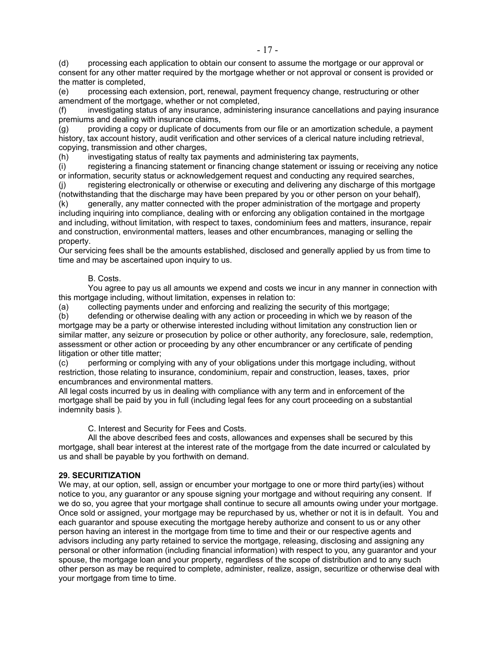(d) processing each application to obtain our consent to assume the mortgage or our approval or consent for any other matter required by the mortgage whether or not approval or consent is provided or the matter is completed,

(e) processing each extension, port, renewal, payment frequency change, restructuring or other amendment of the mortgage, whether or not completed,

(f) investigating status of any insurance, administering insurance cancellations and paying insurance premiums and dealing with insurance claims,

(g) providing a copy or duplicate of documents from our file or an amortization schedule, a payment history, tax account history, audit verification and other services of a clerical nature including retrieval, copying, transmission and other charges,

(h) investigating status of realty tax payments and administering tax payments,

(i) registering a financing statement or financing change statement or issuing or receiving any notice or information, security status or acknowledgement request and conducting any required searches,

(j) registering electronically or otherwise or executing and delivering any discharge of this mortgage (notwithstanding that the discharge may have been prepared by you or other person on your behalf),

(k) generally, any matter connected with the proper administration of the mortgage and property including inquiring into compliance, dealing with or enforcing any obligation contained in the mortgage and including, without limitation, with respect to taxes, condominium fees and matters, insurance, repair and construction, environmental matters, leases and other encumbrances, managing or selling the property.

Our servicing fees shall be the amounts established, disclosed and generally applied by us from time to time and may be ascertained upon inquiry to us.

### B. Costs.

 You agree to pay us all amounts we expend and costs we incur in any manner in connection with this mortgage including, without limitation, expenses in relation to:

(a) collecting payments under and enforcing and realizing the security of this mortgage;

(b) defending or otherwise dealing with any action or proceeding in which we by reason of the mortgage may be a party or otherwise interested including without limitation any construction lien or similar matter, any seizure or prosecution by police or other authority, any foreclosure, sale, redemption, assessment or other action or proceeding by any other encumbrancer or any certificate of pending litigation or other title matter;

(c) performing or complying with any of your obligations under this mortgage including, without restriction, those relating to insurance, condominium, repair and construction, leases, taxes, prior encumbrances and environmental matters.

All legal costs incurred by us in dealing with compliance with any term and in enforcement of the mortgage shall be paid by you in full (including legal fees for any court proceeding on a substantial indemnity basis ).

C. Interest and Security for Fees and Costs.

 All the above described fees and costs, allowances and expenses shall be secured by this mortgage, shall bear interest at the interest rate of the mortgage from the date incurred or calculated by us and shall be payable by you forthwith on demand.

### **29. SECURITIZATION**

We may, at our option, sell, assign or encumber your mortgage to one or more third party(ies) without notice to you, any guarantor or any spouse signing your mortgage and without requiring any consent. If we do so, you agree that your mortgage shall continue to secure all amounts owing under your mortgage. Once sold or assigned, your mortgage may be repurchased by us, whether or not it is in default. You and each guarantor and spouse executing the mortgage hereby authorize and consent to us or any other person having an interest in the mortgage from time to time and their or our respective agents and advisors including any party retained to service the mortgage, releasing, disclosing and assigning any personal or other information (including financial information) with respect to you, any guarantor and your spouse, the mortgage loan and your property, regardless of the scope of distribution and to any such other person as may be required to complete, administer, realize, assign, securitize or otherwise deal with your mortgage from time to time.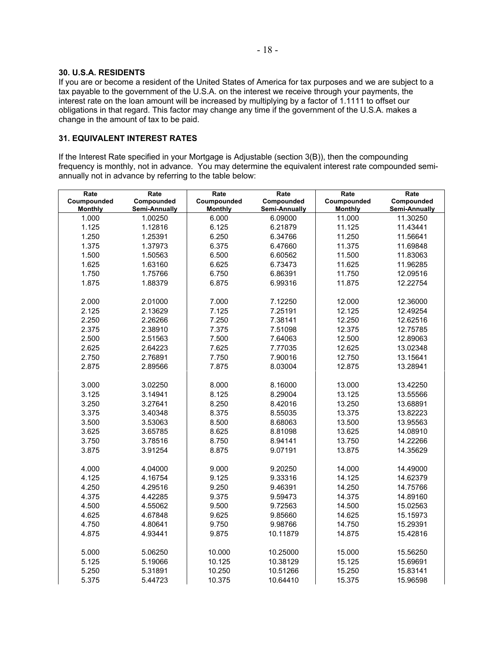### **30. U.S.A. RESIDENTS**

If you are or become a resident of the United States of America for tax purposes and we are subject to a tax payable to the government of the U.S.A. on the interest we receive through your payments, the interest rate on the loan amount will be increased by multiplying by a factor of 1.1111 to offset our obligations in that regard. This factor may change any time if the government of the U.S.A. makes a change in the amount of tax to be paid.

## **31. EQUIVALENT INTEREST RATES**

If the Interest Rate specified in your Mortgage is Adjustable (section 3(B)), then the compounding frequency is monthly, not in advance. You may determine the equivalent interest rate compounded semiannually not in advance by referring to the table below:

| Rate        | Rate          | Rate           | Rate          | Rate        | Rate          |
|-------------|---------------|----------------|---------------|-------------|---------------|
| Coumpounded | Compounded    | Coumpounded    | Compounded    | Coumpounded | Compounded    |
| Monthly     | Semi-Annually | <b>Monthly</b> | Semi-Annually | Monthly     | Semi-Annually |
| 1.000       | 1.00250       | 6.000          | 6.09000       | 11.000      | 11.30250      |
| 1.125       | 1.12816       | 6.125          | 6.21879       | 11.125      | 11.43441      |
| 1.250       | 1.25391       | 6.250          | 6.34766       | 11.250      | 11.56641      |
| 1.375       | 1.37973       | 6.375          | 6.47660       | 11.375      | 11.69848      |
| 1.500       | 1.50563       | 6.500          | 6.60562       | 11.500      | 11.83063      |
| 1.625       | 1.63160       | 6.625          | 6.73473       | 11.625      | 11.96285      |
| 1.750       | 1.75766       | 6.750          | 6.86391       | 11.750      | 12.09516      |
| 1.875       | 1.88379       | 6.875          | 6.99316       | 11.875      | 12.22754      |
|             |               |                |               |             |               |
| 2.000       | 2.01000       | 7.000          | 7.12250       | 12.000      | 12.36000      |
| 2.125       | 2.13629       | 7.125          | 7.25191       | 12.125      | 12.49254      |
| 2.250       | 2.26266       | 7.250          | 7.38141       | 12.250      | 12.62516      |
| 2.375       | 2.38910       | 7.375          | 7.51098       | 12.375      | 12.75785      |
| 2.500       | 2.51563       | 7.500          | 7.64063       | 12.500      | 12.89063      |
| 2.625       | 2.64223       | 7.625          | 7.77035       | 12.625      | 13.02348      |
| 2.750       | 2.76891       | 7.750          | 7.90016       | 12.750      | 13.15641      |
| 2.875       | 2.89566       | 7.875          | 8.03004       | 12.875      | 13.28941      |
|             |               |                |               |             |               |
| 3.000       | 3.02250       | 8.000          | 8.16000       | 13.000      | 13.42250      |
| 3.125       | 3.14941       | 8.125          | 8.29004       | 13.125      | 13.55566      |
| 3.250       | 3.27641       | 8.250          | 8.42016       | 13.250      | 13.68891      |
| 3.375       | 3.40348       | 8.375          | 8.55035       | 13.375      | 13.82223      |
| 3.500       | 3.53063       | 8.500          | 8.68063       | 13.500      | 13.95563      |
| 3.625       | 3.65785       | 8.625          | 8.81098       | 13.625      | 14.08910      |
| 3.750       | 3.78516       | 8.750          | 8.94141       | 13.750      | 14.22266      |
| 3.875       | 3.91254       | 8.875          | 9.07191       | 13.875      | 14.35629      |
|             |               |                |               |             |               |
| 4.000       | 4.04000       | 9.000          | 9.20250       | 14.000      | 14.49000      |
| 4.125       | 4.16754       | 9.125          | 9.33316       | 14.125      | 14.62379      |
| 4.250       | 4.29516       | 9.250          | 9.46391       | 14.250      | 14.75766      |
| 4.375       | 4.42285       | 9.375          | 9.59473       | 14.375      | 14.89160      |
| 4.500       | 4.55062       | 9.500          | 9.72563       | 14.500      | 15.02563      |
| 4.625       | 4.67848       | 9.625          | 9.85660       | 14.625      | 15.15973      |
| 4.750       | 4.80641       | 9.750          | 9.98766       | 14.750      | 15.29391      |
| 4.875       | 4.93441       | 9.875          | 10.11879      | 14.875      | 15.42816      |
|             |               |                |               |             |               |
| 5.000       | 5.06250       | 10.000         | 10.25000      | 15.000      | 15.56250      |
| 5.125       | 5.19066       | 10.125         | 10.38129      | 15.125      | 15.69691      |
| 5.250       | 5.31891       | 10.250         | 10.51266      | 15.250      | 15.83141      |
| 5.375       | 5.44723       | 10.375         | 10.64410      | 15.375      | 15.96598      |